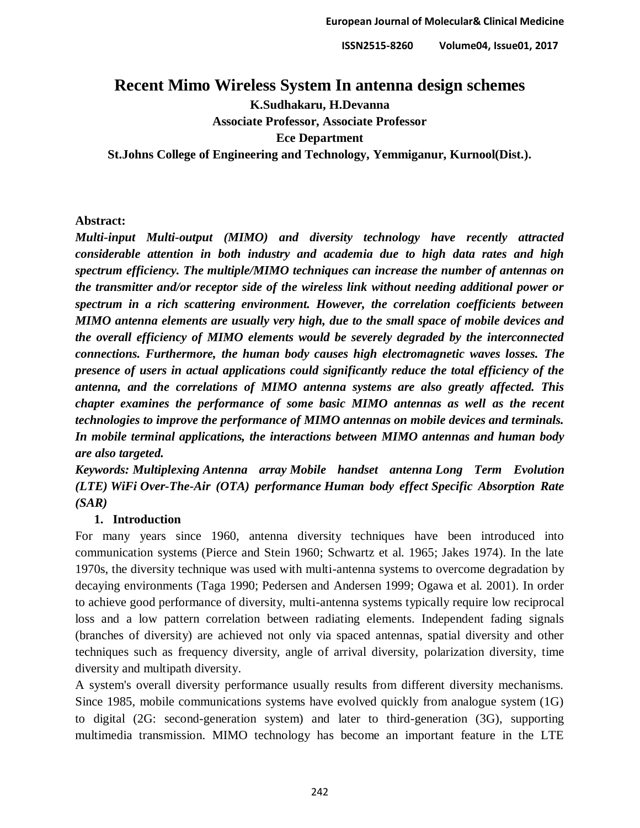# **Recent Mimo Wireless System In antenna design schemes**

**K.Sudhakaru, H.Devanna**

**Associate Professor, Associate Professor**

**Ece Department**

**St.Johns College of Engineering and Technology, Yemmiganur, Kurnool(Dist.).**

### **Abstract:**

*Multi-input Multi-output (MIMO) and diversity technology have recently attracted considerable attention in both industry and academia due to high data rates and high spectrum efficiency. The multiple/MIMO techniques can increase the number of antennas on the transmitter and/or receptor side of the wireless link without needing additional power or spectrum in a rich scattering environment. However, the correlation coefficients between MIMO antenna elements are usually very high, due to the small space of mobile devices and the overall efficiency of MIMO elements would be severely degraded by the interconnected connections. Furthermore, the human body causes high electromagnetic waves losses. The presence of users in actual applications could significantly reduce the total efficiency of the antenna, and the correlations of MIMO antenna systems are also greatly affected. This chapter examines the performance of some basic MIMO antennas as well as the recent technologies to improve the performance of MIMO antennas on mobile devices and terminals. In mobile terminal applications, the interactions between MIMO antennas and human body are also targeted.*

*Keywords: Multiplexing Antenna array Mobile handset antenna Long Term Evolution (LTE) WiFi Over-The-Air (OTA) performance Human body effect Specific Absorption Rate (SAR)*

# **1. Introduction**

For many years since 1960, antenna diversity techniques have been introduced into communication systems (Pierce and Stein 1960; Schwartz et al. 1965; Jakes 1974). In the late 1970s, the diversity technique was used with multi-antenna systems to overcome degradation by decaying environments (Taga 1990; Pedersen and Andersen 1999; Ogawa et al. 2001). In order to achieve good performance of diversity, multi-antenna systems typically require low reciprocal loss and a low pattern correlation between radiating elements. Independent fading signals (branches of diversity) are achieved not only via spaced antennas, spatial diversity and other techniques such as frequency diversity, angle of arrival diversity, polarization diversity, time diversity and multipath diversity.

A system's overall diversity performance usually results from different diversity mechanisms. Since 1985, mobile communications systems have evolved quickly from analogue system (1G) to digital (2G: second-generation system) and later to third-generation (3G), supporting multimedia transmission. MIMO technology has become an important feature in the LTE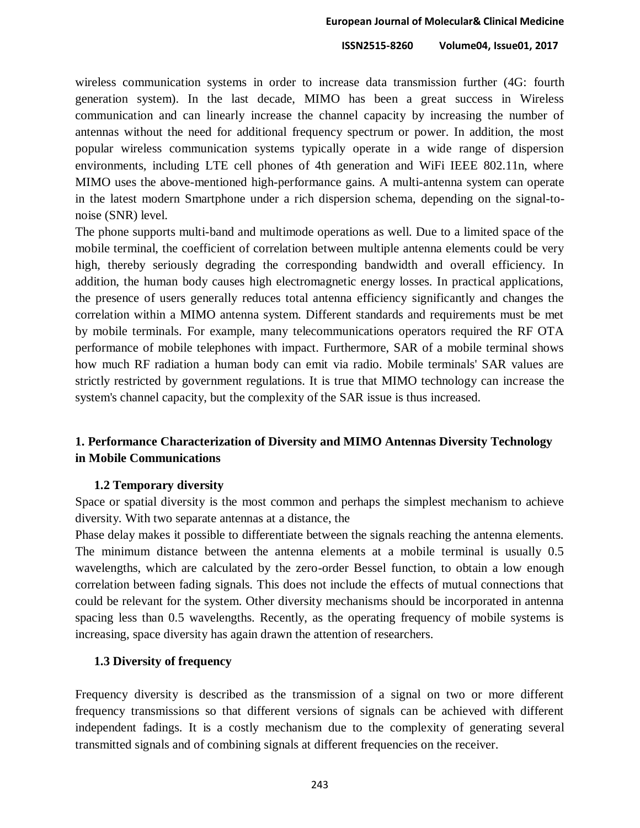wireless communication systems in order to increase data transmission further (4G: fourth generation system). In the last decade, MIMO has been a great success in Wireless communication and can linearly increase the channel capacity by increasing the number of antennas without the need for additional frequency spectrum or power. In addition, the most popular wireless communication systems typically operate in a wide range of dispersion environments, including LTE cell phones of 4th generation and WiFi IEEE 802.11n, where MIMO uses the above-mentioned high-performance gains. A multi-antenna system can operate in the latest modern Smartphone under a rich dispersion schema, depending on the signal-tonoise (SNR) level.

The phone supports multi-band and multimode operations as well. Due to a limited space of the mobile terminal, the coefficient of correlation between multiple antenna elements could be very high, thereby seriously degrading the corresponding bandwidth and overall efficiency. In addition, the human body causes high electromagnetic energy losses. In practical applications, the presence of users generally reduces total antenna efficiency significantly and changes the correlation within a MIMO antenna system. Different standards and requirements must be met by mobile terminals. For example, many telecommunications operators required the RF OTA performance of mobile telephones with impact. Furthermore, SAR of a mobile terminal shows how much RF radiation a human body can emit via radio. Mobile terminals' SAR values are strictly restricted by government regulations. It is true that MIMO technology can increase the system's channel capacity, but the complexity of the SAR issue is thus increased.

# **1. Performance Characterization of Diversity and MIMO Antennas Diversity Technology in Mobile Communications**

#### **1.2 Temporary diversity**

Space or spatial diversity is the most common and perhaps the simplest mechanism to achieve diversity. With two separate antennas at a distance, the

Phase delay makes it possible to differentiate between the signals reaching the antenna elements. The minimum distance between the antenna elements at a mobile terminal is usually 0.5 wavelengths, which are calculated by the zero-order Bessel function, to obtain a low enough correlation between fading signals. This does not include the effects of mutual connections that could be relevant for the system. Other diversity mechanisms should be incorporated in antenna spacing less than 0.5 wavelengths. Recently, as the operating frequency of mobile systems is increasing, space diversity has again drawn the attention of researchers.

## **1.3 Diversity of frequency**

Frequency diversity is described as the transmission of a signal on two or more different frequency transmissions so that different versions of signals can be achieved with different independent fadings. It is a costly mechanism due to the complexity of generating several transmitted signals and of combining signals at different frequencies on the receiver.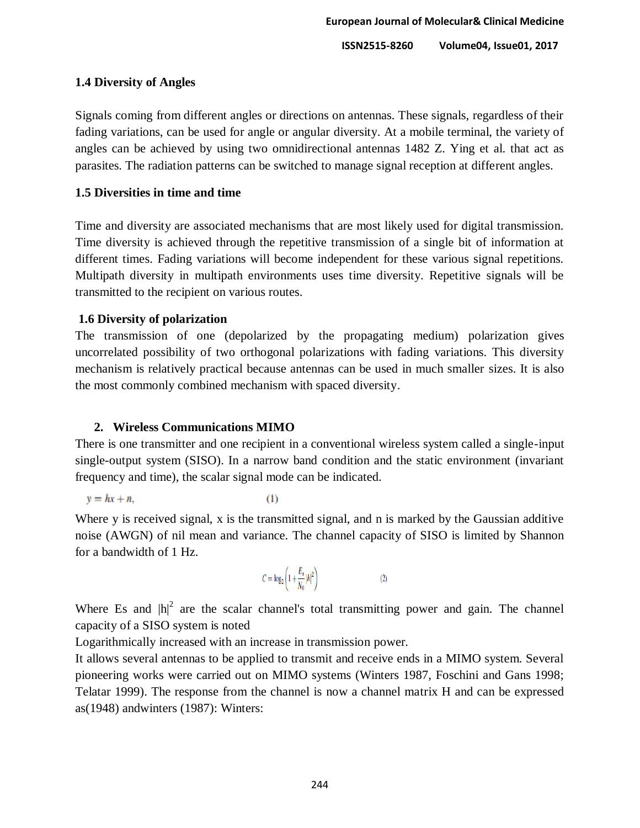## **1.4 Diversity of Angles**

Signals coming from different angles or directions on antennas. These signals, regardless of their fading variations, can be used for angle or angular diversity. At a mobile terminal, the variety of angles can be achieved by using two omnidirectional antennas 1482 Z. Ying et al. that act as parasites. The radiation patterns can be switched to manage signal reception at different angles.

# **1.5 Diversities in time and time**

Time and diversity are associated mechanisms that are most likely used for digital transmission. Time diversity is achieved through the repetitive transmission of a single bit of information at different times. Fading variations will become independent for these various signal repetitions. Multipath diversity in multipath environments uses time diversity. Repetitive signals will be transmitted to the recipient on various routes.

# **1.6 Diversity of polarization**

The transmission of one (depolarized by the propagating medium) polarization gives uncorrelated possibility of two orthogonal polarizations with fading variations. This diversity mechanism is relatively practical because antennas can be used in much smaller sizes. It is also the most commonly combined mechanism with spaced diversity.

# **2. Wireless Communications MIMO**

There is one transmitter and one recipient in a conventional wireless system called a single-input single-output system (SISO). In a narrow band condition and the static environment (invariant frequency and time), the scalar signal mode can be indicated.

$$
y = hx + n,\tag{1}
$$

Where y is received signal, x is the transmitted signal, and n is marked by the Gaussian additive noise (AWGN) of nil mean and variance. The channel capacity of SISO is limited by Shannon for a bandwidth of 1 Hz.

$$
C = \log_2 \left( 1 + \frac{E_s}{N_0} |h|^2 \right) \tag{2}
$$

Where Es and  $|h|^2$  are the scalar channel's total transmitting power and gain. The channel capacity of a SISO system is noted

Logarithmically increased with an increase in transmission power.

It allows several antennas to be applied to transmit and receive ends in a MIMO system. Several pioneering works were carried out on MIMO systems (Winters 1987, Foschini and Gans 1998; Telatar 1999). The response from the channel is now a channel matrix H and can be expressed as(1948) andwinters (1987): Winters: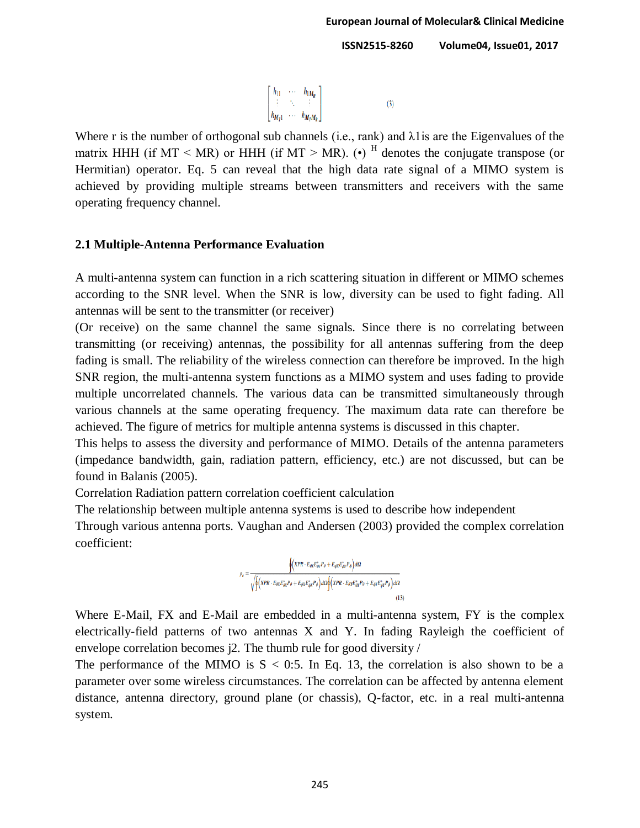$$
\begin{bmatrix}\nh_{11} & \cdots & h_{1M_R} \\
\vdots & \ddots & \vdots \\
h_{M_T 1} & \cdots & h_{M_T M_R}\n\end{bmatrix}
$$
\n(3)

Where r is the number of orthogonal sub channels (i.e., rank) and  $\lambda$ 1 is are the Eigenvalues of the matrix HHH (if MT  $\leq$  MR) or HHH (if MT  $\geq$  MR). (•) <sup>H</sup> denotes the conjugate transpose (or Hermitian) operator. Eq. 5 can reveal that the high data rate signal of a MIMO system is achieved by providing multiple streams between transmitters and receivers with the same operating frequency channel.

#### **2.1 Multiple-Antenna Performance Evaluation**

A multi-antenna system can function in a rich scattering situation in different or MIMO schemes according to the SNR level. When the SNR is low, diversity can be used to fight fading. All antennas will be sent to the transmitter (or receiver)

(Or receive) on the same channel the same signals. Since there is no correlating between transmitting (or receiving) antennas, the possibility for all antennas suffering from the deep fading is small. The reliability of the wireless connection can therefore be improved. In the high SNR region, the multi-antenna system functions as a MIMO system and uses fading to provide multiple uncorrelated channels. The various data can be transmitted simultaneously through various channels at the same operating frequency. The maximum data rate can therefore be achieved. The figure of metrics for multiple antenna systems is discussed in this chapter.

This helps to assess the diversity and performance of MIMO. Details of the antenna parameters (impedance bandwidth, gain, radiation pattern, efficiency, etc.) are not discussed, but can be found in Balanis (2005).

Correlation Radiation pattern correlation coefficient calculation

The relationship between multiple antenna systems is used to describe how independent

Through various antenna ports. Vaughan and Andersen (2003) provided the complex correlation coefficient:

$$
\rho_c = \frac{\oint \left( \dot{X}PR \cdot E_{dX}E_{dY}^*P_{\theta} + E_{dX}E_{dY}^*P_{\theta} \right) d\Omega}{\sqrt{\oint \left( \dot{X}PR \cdot E_{dX}E_{dX}^*P_{\theta} + E_{dX}E_{dX}^*P_{\theta} \right) d\Omega \oint \left( \dot{X}PR \cdot E_{\theta Y}E_{dY}^*P_{\theta} + E_{\theta Y}E_{dY}^*P_{\theta} \right) d\Omega}}
$$
\n(13)

Where E-Mail, FX and E-Mail are embedded in a multi-antenna system, FY is the complex electrically-field patterns of two antennas X and Y. In fading Rayleigh the coefficient of envelope correlation becomes j2. The thumb rule for good diversity /

The performance of the MIMO is  $S < 0.5$ . In Eq. 13, the correlation is also shown to be a parameter over some wireless circumstances. The correlation can be affected by antenna element distance, antenna directory, ground plane (or chassis), Q-factor, etc. in a real multi-antenna system.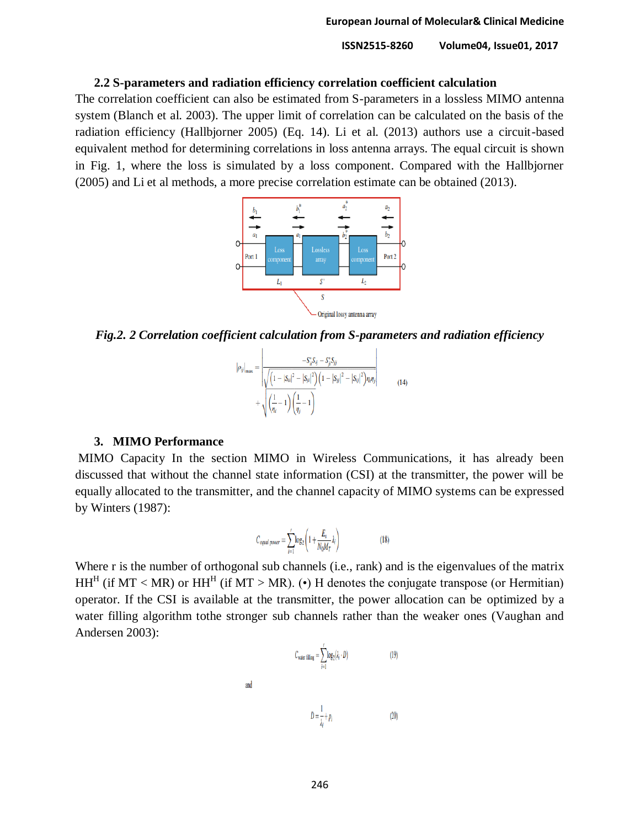#### **2.2 S-parameters and radiation efficiency correlation coefficient calculation**

The correlation coefficient can also be estimated from S-parameters in a lossless MIMO antenna system (Blanch et al. 2003). The upper limit of correlation can be calculated on the basis of the radiation efficiency (Hallbjorner 2005) (Eq. 14). Li et al. (2013) authors use a circuit-based equivalent method for determining correlations in loss antenna arrays. The equal circuit is shown in Fig. 1, where the loss is simulated by a loss component. Compared with the Hallbjorner (2005) and Li et al methods, a more precise correlation estimate can be obtained (2013).



*Fig.2. 2 Correlation coefficient calculation from S-parameters and radiation efficiency*

$$
|\rho_{ij}|_{\max} = \left| \frac{-S_{ii}^* S_{ij} - S_{ji}^* S_{jj}}{\sqrt{\left(1 - |S_{ii}|^2 - |S_{ji}|^2\right) \left(1 - |S_{jj}|^2 - |S_{ij}|^2\right) \eta_i \eta_j}} + \sqrt{\left(\frac{1}{\eta_i} - 1\right) \left(\frac{1}{\eta_j} - 1\right)}
$$
(14)

#### **3. MIMO Performance**

MIMO Capacity In the section MIMO in Wireless Communications, it has already been discussed that without the channel state information (CSI) at the transmitter, the power will be equally allocated to the transmitter, and the channel capacity of MIMO systems can be expressed by Winters (1987):

$$
C_{equal\ power} = \sum_{i=1}^{r} \log_2 \left( 1 + \frac{E_s}{N_0 M_T} \lambda_i \right) \tag{18}
$$

Where r is the number of orthogonal sub channels (i.e., rank) and is the eigenvalues of the matrix HH<sup>H</sup> (if MT < MR) or HH<sup>H</sup> (if MT > MR). (•) H denotes the conjugate transpose (or Hermitian) operator. If the CSI is available at the transmitter, the power allocation can be optimized by a water filling algorithm tothe stronger sub channels rather than the weaker ones (Vaughan and Andersen 2003):

and

$$
C_{\text{water filling}} = \sum_{i=1}^{r} \log_2(\lambda_i \cdot D) \tag{19}
$$

 $D = \frac{1}{1} + p_i$  $(20)$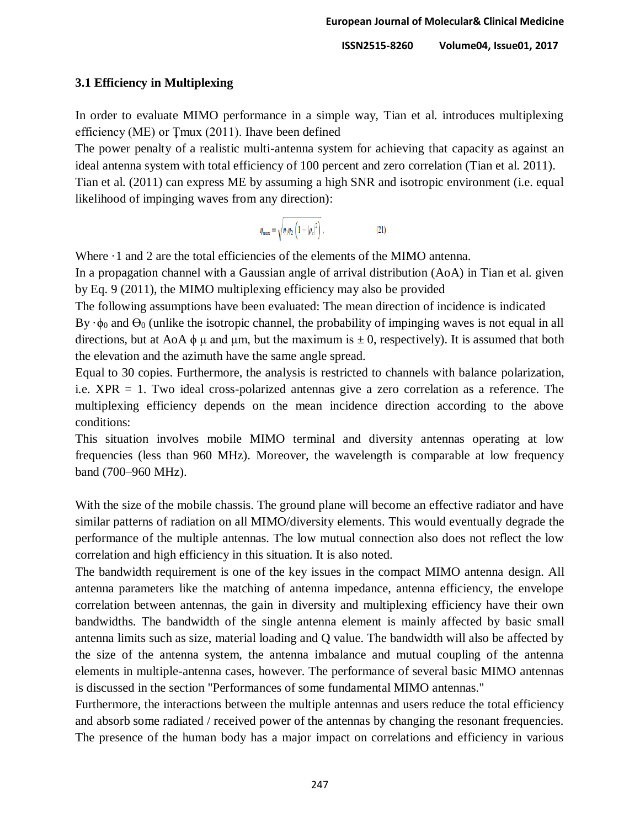### **3.1 Efficiency in Multiplexing**

In order to evaluate MIMO performance in a simple way, Tian et al. introduces multiplexing efficiency (ME) or Ţmux (2011). Ihave been defined

The power penalty of a realistic multi-antenna system for achieving that capacity as against an ideal antenna system with total efficiency of 100 percent and zero correlation (Tian et al. 2011). Tian et al. (2011) can express ME by assuming a high SNR and isotropic environment (i.e. equal likelihood of impinging waves from any direction):

> $\eta_{\text{max}} = \sqrt{\eta_1 \eta_2 \left(1 - |\rho_c|^2\right)}$ ,  $(21)$

Where  $\cdot$  1 and 2 are the total efficiencies of the elements of the MIMO antenna.

In a propagation channel with a Gaussian angle of arrival distribution (AoA) in Tian et al. given by Eq. 9 (2011), the MIMO multiplexing efficiency may also be provided

The following assumptions have been evaluated: The mean direction of incidence is indicated By  $\cdot\phi_0$  and  $\Theta_0$  (unlike the isotropic channel, the probability of impinging waves is not equal in all directions, but at AoA  $\phi$  μ and μm, but the maximum is  $\pm$  0, respectively). It is assumed that both the elevation and the azimuth have the same angle spread.

Equal to 30 copies. Furthermore, the analysis is restricted to channels with balance polarization, i.e. XPR = 1. Two ideal cross-polarized antennas give a zero correlation as a reference. The multiplexing efficiency depends on the mean incidence direction according to the above conditions:

This situation involves mobile MIMO terminal and diversity antennas operating at low frequencies (less than 960 MHz). Moreover, the wavelength is comparable at low frequency band (700–960 MHz).

With the size of the mobile chassis. The ground plane will become an effective radiator and have similar patterns of radiation on all MIMO/diversity elements. This would eventually degrade the performance of the multiple antennas. The low mutual connection also does not reflect the low correlation and high efficiency in this situation. It is also noted.

The bandwidth requirement is one of the key issues in the compact MIMO antenna design. All antenna parameters like the matching of antenna impedance, antenna efficiency, the envelope correlation between antennas, the gain in diversity and multiplexing efficiency have their own bandwidths. The bandwidth of the single antenna element is mainly affected by basic small antenna limits such as size, material loading and Q value. The bandwidth will also be affected by the size of the antenna system, the antenna imbalance and mutual coupling of the antenna elements in multiple-antenna cases, however. The performance of several basic MIMO antennas is discussed in the section "Performances of some fundamental MIMO antennas."

Furthermore, the interactions between the multiple antennas and users reduce the total efficiency and absorb some radiated / received power of the antennas by changing the resonant frequencies. The presence of the human body has a major impact on correlations and efficiency in various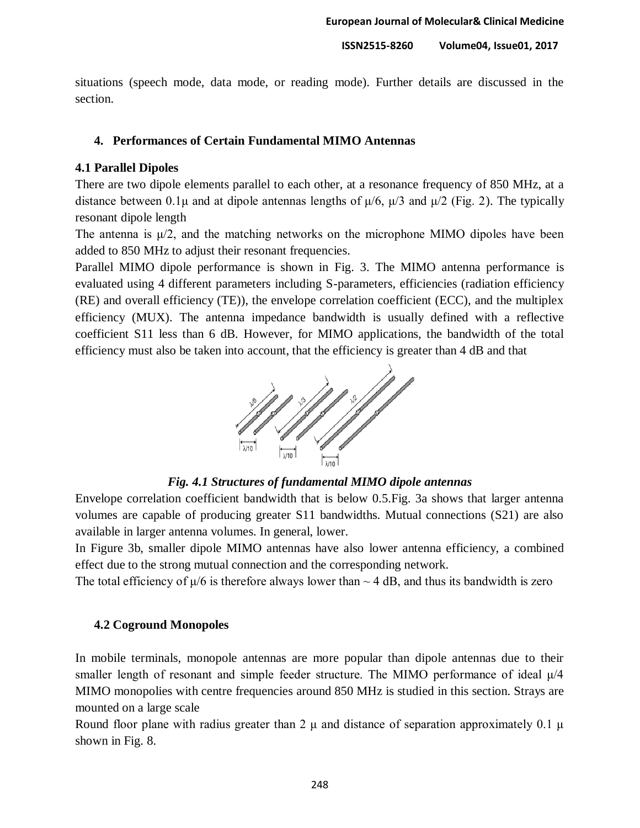situations (speech mode, data mode, or reading mode). Further details are discussed in the section.

### **4. Performances of Certain Fundamental MIMO Antennas**

### **4.1 Parallel Dipoles**

There are two dipole elements parallel to each other, at a resonance frequency of 850 MHz, at a distance between 0.1 $\mu$  and at dipole antennas lengths of  $\mu/6$ ,  $\mu/3$  and  $\mu/2$  (Fig. 2). The typically resonant dipole length

The antenna is  $\mu/2$ , and the matching networks on the microphone MIMO dipoles have been added to 850 MHz to adjust their resonant frequencies.

Parallel MIMO dipole performance is shown in Fig. 3. The MIMO antenna performance is evaluated using 4 different parameters including S-parameters, efficiencies (radiation efficiency (RE) and overall efficiency (TE)), the envelope correlation coefficient (ECC), and the multiplex efficiency (MUX). The antenna impedance bandwidth is usually defined with a reflective coefficient S11 less than 6 dB. However, for MIMO applications, the bandwidth of the total efficiency must also be taken into account, that the efficiency is greater than 4 dB and that



*Fig. 4.1 Structures of fundamental MIMO dipole antennas*

Envelope correlation coefficient bandwidth that is below 0.5.Fig. 3a shows that larger antenna volumes are capable of producing greater S11 bandwidths. Mutual connections (S21) are also available in larger antenna volumes. In general, lower.

In Figure 3b, smaller dipole MIMO antennas have also lower antenna efficiency, a combined effect due to the strong mutual connection and the corresponding network.

The total efficiency of  $\mu/6$  is therefore always lower than  $\sim$  4 dB, and thus its bandwidth is zero

#### **4.2 Coground Monopoles**

In mobile terminals, monopole antennas are more popular than dipole antennas due to their smaller length of resonant and simple feeder structure. The MIMO performance of ideal μ/4 MIMO monopolies with centre frequencies around 850 MHz is studied in this section. Strays are mounted on a large scale

Round floor plane with radius greater than 2  $\mu$  and distance of separation approximately 0.1  $\mu$ shown in Fig. 8.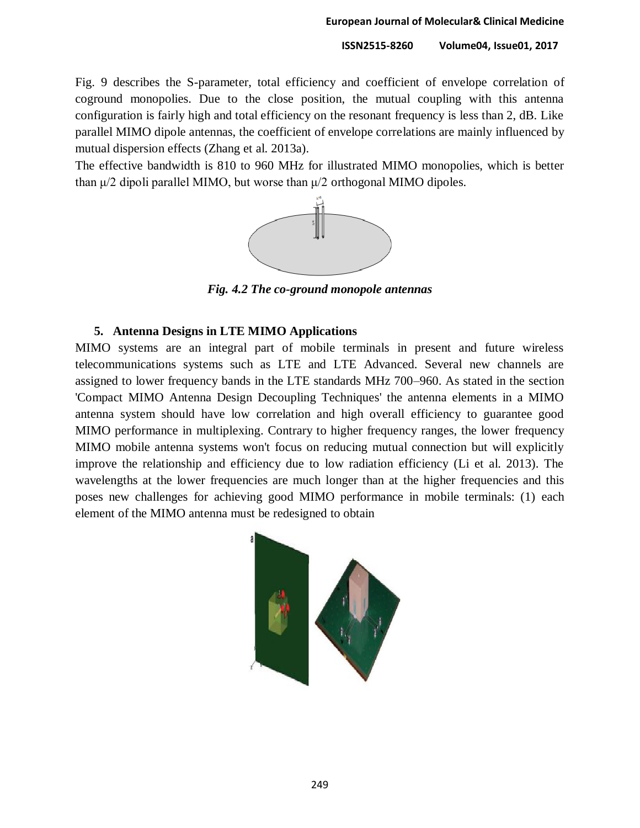Fig. 9 describes the S-parameter, total efficiency and coefficient of envelope correlation of coground monopolies. Due to the close position, the mutual coupling with this antenna configuration is fairly high and total efficiency on the resonant frequency is less than 2, dB. Like parallel MIMO dipole antennas, the coefficient of envelope correlations are mainly influenced by mutual dispersion effects (Zhang et al. 2013a).

The effective bandwidth is 810 to 960 MHz for illustrated MIMO monopolies, which is better than  $\mu/2$  dipoli parallel MIMO, but worse than  $\mu/2$  orthogonal MIMO dipoles.



*Fig. 4.2 The co-ground monopole antennas*

#### **5. Antenna Designs in LTE MIMO Applications**

MIMO systems are an integral part of mobile terminals in present and future wireless telecommunications systems such as LTE and LTE Advanced. Several new channels are assigned to lower frequency bands in the LTE standards MHz 700–960. As stated in the section 'Compact MIMO Antenna Design Decoupling Techniques' the antenna elements in a MIMO antenna system should have low correlation and high overall efficiency to guarantee good MIMO performance in multiplexing. Contrary to higher frequency ranges, the lower frequency MIMO mobile antenna systems won't focus on reducing mutual connection but will explicitly improve the relationship and efficiency due to low radiation efficiency (Li et al. 2013). The wavelengths at the lower frequencies are much longer than at the higher frequencies and this poses new challenges for achieving good MIMO performance in mobile terminals: (1) each element of the MIMO antenna must be redesigned to obtain

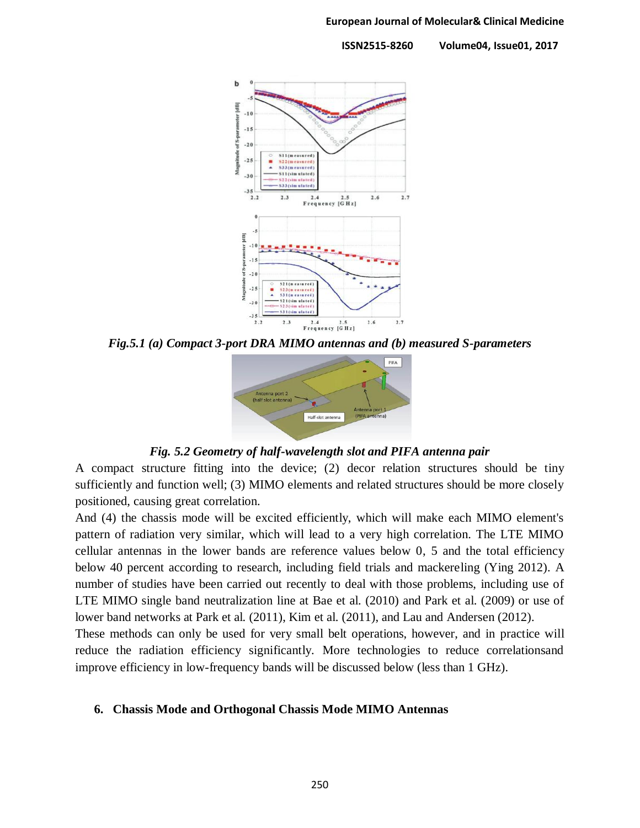

*Fig.5.1 (a) Compact 3-port DRA MIMO antennas and (b) measured S-parameters*



*Fig. 5.2 Geometry of half-wavelength slot and PIFA antenna pair*

A compact structure fitting into the device; (2) decor relation structures should be tiny sufficiently and function well; (3) MIMO elements and related structures should be more closely positioned, causing great correlation.

And (4) the chassis mode will be excited efficiently, which will make each MIMO element's pattern of radiation very similar, which will lead to a very high correlation. The LTE MIMO cellular antennas in the lower bands are reference values below 0, 5 and the total efficiency below 40 percent according to research, including field trials and mackereling (Ying 2012). A number of studies have been carried out recently to deal with those problems, including use of LTE MIMO single band neutralization line at Bae et al. (2010) and Park et al. (2009) or use of lower band networks at Park et al. (2011), Kim et al. (2011), and Lau and Andersen (2012).

These methods can only be used for very small belt operations, however, and in practice will reduce the radiation efficiency significantly. More technologies to reduce correlationsand improve efficiency in low-frequency bands will be discussed below (less than 1 GHz).

#### **6. Chassis Mode and Orthogonal Chassis Mode MIMO Antennas**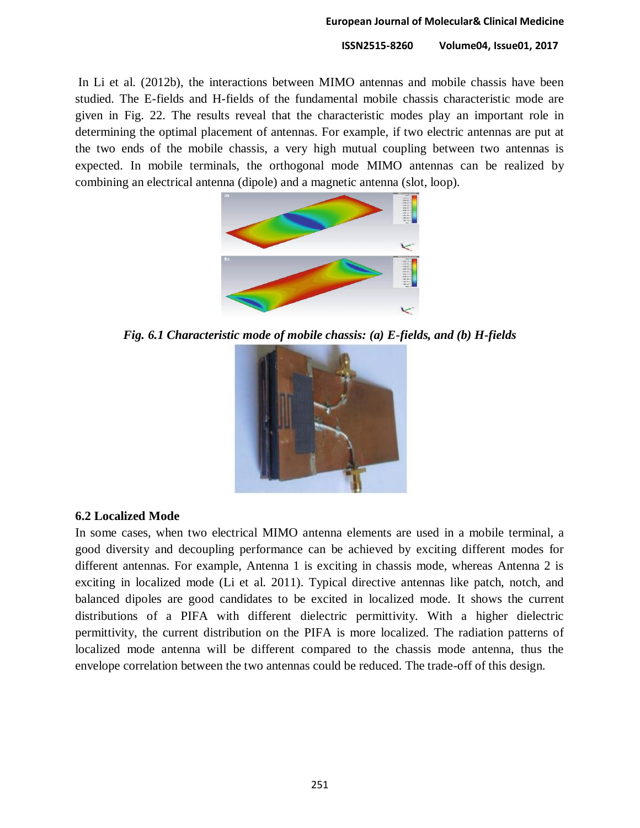In Li et al. (2012b), the interactions between MIMO antennas and mobile chassis have been studied. The E-fields and H-fields of the fundamental mobile chassis characteristic mode are given in Fig. 22. The results reveal that the characteristic modes play an important role in determining the optimal placement of antennas. For example, if two electric antennas are put at the two ends of the mobile chassis, a very high mutual coupling between two antennas is expected. In mobile terminals, the orthogonal mode MIMO antennas can be realized by combining an electrical antenna (dipole) and a magnetic antenna (slot, loop).



*Fig. 6.1 Characteristic mode of mobile chassis: (a) E-fields, and (b) H-fields*



#### **6.2 Localized Mode**

In some cases, when two electrical MIMO antenna elements are used in a mobile terminal, a good diversity and decoupling performance can be achieved by exciting different modes for different antennas. For example, Antenna 1 is exciting in chassis mode, whereas Antenna 2 is exciting in localized mode (Li et al. 2011). Typical directive antennas like patch, notch, and balanced dipoles are good candidates to be excited in localized mode. It shows the current distributions of a PIFA with different dielectric permittivity. With a higher dielectric permittivity, the current distribution on the PIFA is more localized. The radiation patterns of localized mode antenna will be different compared to the chassis mode antenna, thus the envelope correlation between the two antennas could be reduced. The trade-off of this design.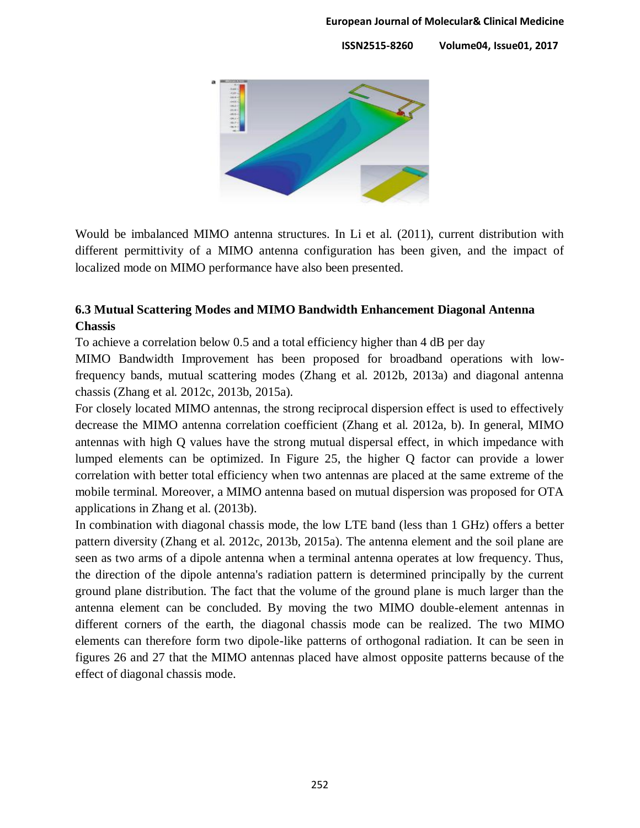

Would be imbalanced MIMO antenna structures. In Li et al. (2011), current distribution with different permittivity of a MIMO antenna configuration has been given, and the impact of localized mode on MIMO performance have also been presented.

# **6.3 Mutual Scattering Modes and MIMO Bandwidth Enhancement Diagonal Antenna Chassis**

To achieve a correlation below 0.5 and a total efficiency higher than 4 dB per day

MIMO Bandwidth Improvement has been proposed for broadband operations with lowfrequency bands, mutual scattering modes (Zhang et al. 2012b, 2013a) and diagonal antenna chassis (Zhang et al. 2012c, 2013b, 2015a).

For closely located MIMO antennas, the strong reciprocal dispersion effect is used to effectively decrease the MIMO antenna correlation coefficient (Zhang et al. 2012a, b). In general, MIMO antennas with high Q values have the strong mutual dispersal effect, in which impedance with lumped elements can be optimized. In Figure 25, the higher Q factor can provide a lower correlation with better total efficiency when two antennas are placed at the same extreme of the mobile terminal. Moreover, a MIMO antenna based on mutual dispersion was proposed for OTA applications in Zhang et al. (2013b).

In combination with diagonal chassis mode, the low LTE band (less than 1 GHz) offers a better pattern diversity (Zhang et al. 2012c, 2013b, 2015a). The antenna element and the soil plane are seen as two arms of a dipole antenna when a terminal antenna operates at low frequency. Thus, the direction of the dipole antenna's radiation pattern is determined principally by the current ground plane distribution. The fact that the volume of the ground plane is much larger than the antenna element can be concluded. By moving the two MIMO double-element antennas in different corners of the earth, the diagonal chassis mode can be realized. The two MIMO elements can therefore form two dipole-like patterns of orthogonal radiation. It can be seen in figures 26 and 27 that the MIMO antennas placed have almost opposite patterns because of the effect of diagonal chassis mode.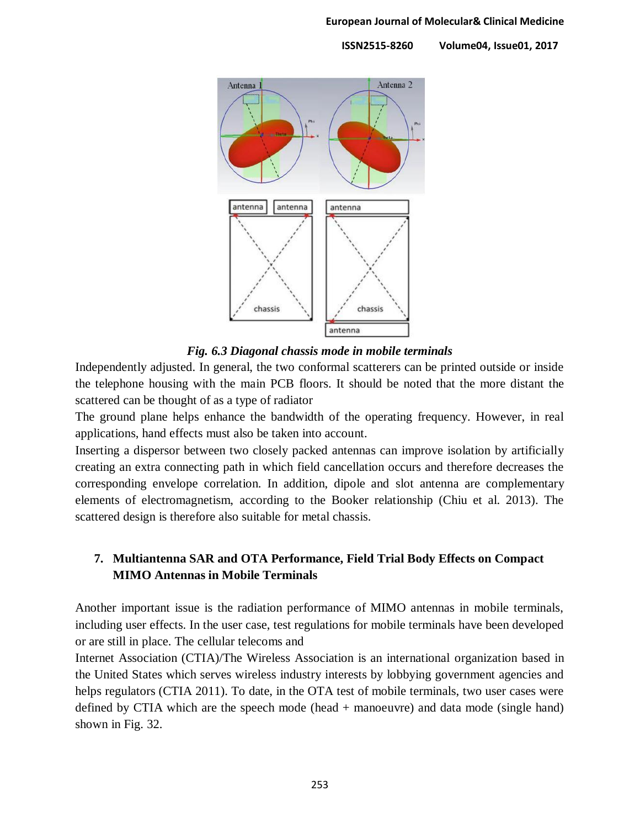

*Fig. 6.3 Diagonal chassis mode in mobile terminals*

Independently adjusted. In general, the two conformal scatterers can be printed outside or inside the telephone housing with the main PCB floors. It should be noted that the more distant the scattered can be thought of as a type of radiator

The ground plane helps enhance the bandwidth of the operating frequency. However, in real applications, hand effects must also be taken into account.

Inserting a dispersor between two closely packed antennas can improve isolation by artificially creating an extra connecting path in which field cancellation occurs and therefore decreases the corresponding envelope correlation. In addition, dipole and slot antenna are complementary elements of electromagnetism, according to the Booker relationship (Chiu et al. 2013). The scattered design is therefore also suitable for metal chassis.

# **7. Multiantenna SAR and OTA Performance, Field Trial Body Effects on Compact MIMO Antennas in Mobile Terminals**

Another important issue is the radiation performance of MIMO antennas in mobile terminals, including user effects. In the user case, test regulations for mobile terminals have been developed or are still in place. The cellular telecoms and

Internet Association (CTIA)/The Wireless Association is an international organization based in the United States which serves wireless industry interests by lobbying government agencies and helps regulators (CTIA 2011). To date, in the OTA test of mobile terminals, two user cases were defined by CTIA which are the speech mode (head + manoeuvre) and data mode (single hand) shown in Fig. 32.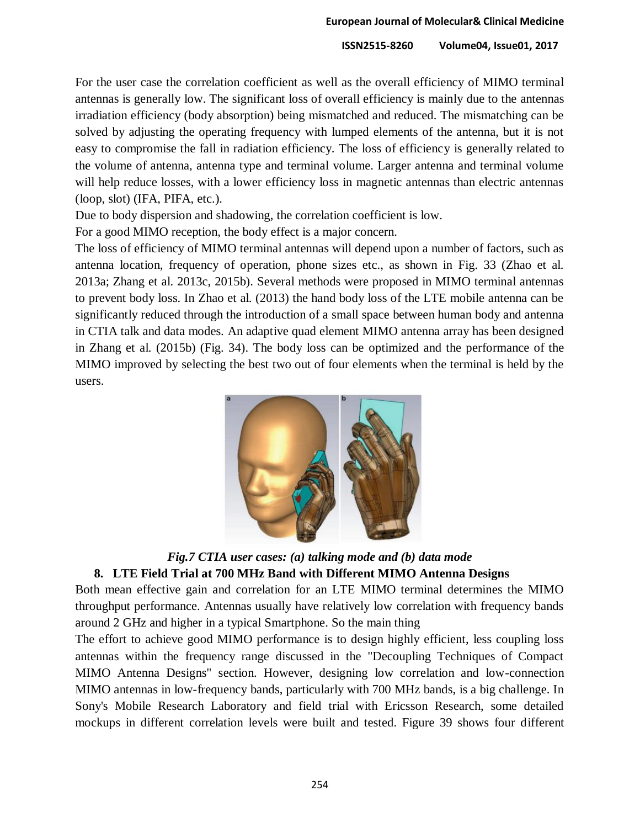For the user case the correlation coefficient as well as the overall efficiency of MIMO terminal antennas is generally low. The significant loss of overall efficiency is mainly due to the antennas irradiation efficiency (body absorption) being mismatched and reduced. The mismatching can be solved by adjusting the operating frequency with lumped elements of the antenna, but it is not easy to compromise the fall in radiation efficiency. The loss of efficiency is generally related to the volume of antenna, antenna type and terminal volume. Larger antenna and terminal volume will help reduce losses, with a lower efficiency loss in magnetic antennas than electric antennas (loop, slot) (IFA, PIFA, etc.).

Due to body dispersion and shadowing, the correlation coefficient is low.

For a good MIMO reception, the body effect is a major concern.

The loss of efficiency of MIMO terminal antennas will depend upon a number of factors, such as antenna location, frequency of operation, phone sizes etc., as shown in Fig. 33 (Zhao et al. 2013a; Zhang et al. 2013c, 2015b). Several methods were proposed in MIMO terminal antennas to prevent body loss. In Zhao et al. (2013) the hand body loss of the LTE mobile antenna can be significantly reduced through the introduction of a small space between human body and antenna in CTIA talk and data modes. An adaptive quad element MIMO antenna array has been designed in Zhang et al. (2015b) (Fig. 34). The body loss can be optimized and the performance of the MIMO improved by selecting the best two out of four elements when the terminal is held by the users.



*Fig.7 CTIA user cases: (a) talking mode and (b) data mode*

# **8. LTE Field Trial at 700 MHz Band with Different MIMO Antenna Designs**

Both mean effective gain and correlation for an LTE MIMO terminal determines the MIMO throughput performance. Antennas usually have relatively low correlation with frequency bands around 2 GHz and higher in a typical Smartphone. So the main thing

The effort to achieve good MIMO performance is to design highly efficient, less coupling loss antennas within the frequency range discussed in the "Decoupling Techniques of Compact MIMO Antenna Designs" section. However, designing low correlation and low-connection MIMO antennas in low-frequency bands, particularly with 700 MHz bands, is a big challenge. In Sony's Mobile Research Laboratory and field trial with Ericsson Research, some detailed mockups in different correlation levels were built and tested. Figure 39 shows four different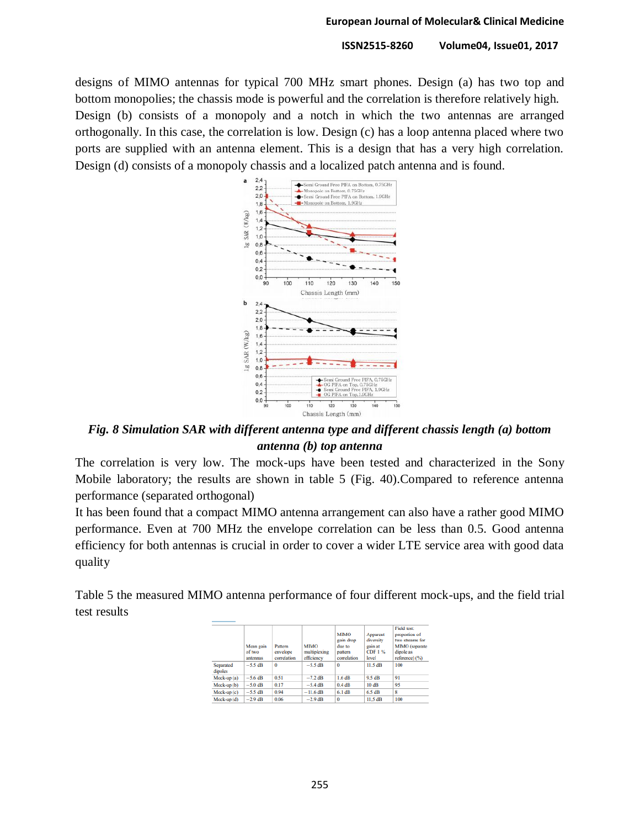designs of MIMO antennas for typical 700 MHz smart phones. Design (a) has two top and bottom monopolies; the chassis mode is powerful and the correlation is therefore relatively high. Design (b) consists of a monopoly and a notch in which the two antennas are arranged orthogonally. In this case, the correlation is low. Design (c) has a loop antenna placed where two ports are supplied with an antenna element. This is a design that has a very high correlation. Design (d) consists of a monopoly chassis and a localized patch antenna and is found.



*Fig. 8 Simulation SAR with different antenna type and different chassis length (a) bottom antenna (b) top antenna*

The correlation is very low. The mock-ups have been tested and characterized in the Sony Mobile laboratory; the results are shown in table 5 (Fig. 40).Compared to reference antenna performance (separated orthogonal)

It has been found that a compact MIMO antenna arrangement can also have a rather good MIMO performance. Even at 700 MHz the envelope correlation can be less than 0.5. Good antenna efficiency for both antennas is crucial in order to cover a wider LTE service area with good data quality

Table 5 the measured MIMO antenna performance of four different mock-ups, and the field trial test results

|                      | Mean gain<br>of two<br>antennas | Pattern<br>envelope<br>correlation | <b>MIMO</b><br>multiplexing<br>efficiency | <b>MIMO</b><br>gain drop<br>due to<br>pattern<br>correlation | Apparent<br>diversity<br>gain at<br><b>CDF1%</b><br>level | Field test:<br>proportion of<br>two streams for<br>MIMO (separate<br>dipole as<br>reference) (%) |
|----------------------|---------------------------------|------------------------------------|-------------------------------------------|--------------------------------------------------------------|-----------------------------------------------------------|--------------------------------------------------------------------------------------------------|
| Separated<br>dipoles | $-5.5$ dB                       | 0                                  | $-5.5$ dB                                 | $\Omega$                                                     | $11.5$ dB                                                 | 100                                                                                              |
| $Mock-up(a)$         | $-5.6$ dB                       | 0.51                               | $-7.2$ dB                                 | 1.6 dB                                                       | 9.5 dB                                                    | 91                                                                                               |
| Mock-up (b)          | $-5.0$ dB                       | 0.17                               | $-5.4$ dB                                 | 0.4dB                                                        | 10dB                                                      | 95                                                                                               |
| Mock-up (c)          | $-5.5$ dB                       | 0.94                               | $-11.6$ dB                                | $6.1$ dB                                                     | 6.5 dB                                                    | 8                                                                                                |
| Mock-up (d)          | $-2.9$ dB                       | 0.06                               | $-2.9$ dB                                 | 0                                                            | 11.5 dB                                                   | 100                                                                                              |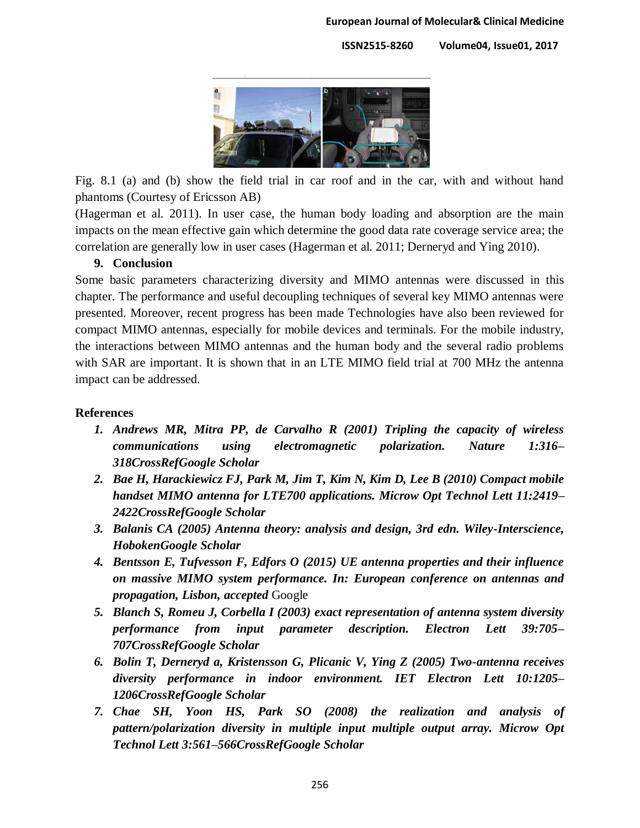

Fig. 8.1 (a) and (b) show the field trial in car roof and in the car, with and without hand phantoms (Courtesy of Ericsson AB)

(Hagerman et al. 2011). In user case, the human body loading and absorption are the main impacts on the mean effective gain which determine the good data rate coverage service area; the correlation are generally low in user cases (Hagerman et al. 2011; Derneryd and Ying 2010).

## **9. Conclusion**

Some basic parameters characterizing diversity and MIMO antennas were discussed in this chapter. The performance and useful decoupling techniques of several key MIMO antennas were presented. Moreover, recent progress has been made Technologies have also been reviewed for compact MIMO antennas, especially for mobile devices and terminals. For the mobile industry, the interactions between MIMO antennas and the human body and the several radio problems with SAR are important. It is shown that in an LTE MIMO field trial at 700 MHz the antenna impact can be addressed.

### **References**

- *1. Andrews MR, Mitra PP, de Carvalho R (2001) Tripling the capacity of wireless communications using electromagnetic polarization. Nature 1:316– 31[8CrossRefGoogle Scholar](https://doi.org/10.1038/35053015)*
- *2. Bae H, Harackiewicz FJ, Park M, Jim T, Kim N, Kim D, Lee B (2010) Compact mobile handset MIMO antenna for LTE700 applications. Microw Opt Technol Lett 11:2419– 242[2CrossRefGoogle Scholar](https://doi.org/10.1002/mop.25507)*
- *3. Balanis CA (2005) Antenna theory: analysis and design, 3rd edn. Wiley-Interscience, Hoboke[nGoogle Scholar](http://scholar.google.com/scholar_lookup?title=Antenna%20theory%3A%20analysis%20and%20design&author=CA.%20Balanis&publication_year=2005)*
- *4. Bentsson E, Tufvesson F, Edfors O (2015) UE antenna properties and their influence on massive MIMO system performance. In: European conference on antennas and propagation, Lisbon, accepted* Google
- *5. Blanch S, Romeu J, Corbella I (2003) exact representation of antenna system diversity performance from input parameter description. Electron Lett 39:705– 70[7CrossRefGoogle Scholar](https://doi.org/10.1049/el%3A20030495)*
- *6. Bolin T, Derneryd a, Kristensson G, Plicanic V, Ying Z (2005) Two-antenna receives diversity performance in indoor environment. IET Electron Lett 10:1205– 120[6CrossRefGoogle Scholar](https://doi.org/10.1049/el%3A20053365)*
- *7. Chae SH, Yoon HS, Park SO (2008) the realization and analysis of pattern/polarization diversity in multiple input multiple output array. Microw Opt Technol Lett 3:561–56[6CrossRefGoogle Scholar](https://doi.org/10.1002/mop.23142)*